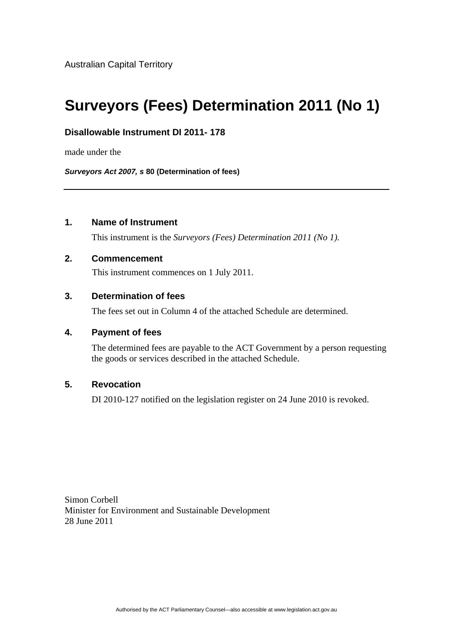Australian Capital Territory

# **Surveyors (Fees) Determination 2011 (No 1)**

# **Disallowable Instrument DI 2011- 178**

made under the

*Surveyors Act 2007, s* **80 (Determination of fees)**

# **1. Name of Instrument**

This instrument is the *Surveyors (Fees) Determination 2011 (No 1).* 

## **2. Commencement**

This instrument commences on 1 July 2011.

# **3. Determination of fees**

The fees set out in Column 4 of the attached Schedule are determined.

#### **4. Payment of fees**

The determined fees are payable to the ACT Government by a person requesting the goods or services described in the attached Schedule.

# **5. Revocation**

DI 2010-127 notified on the legislation register on 24 June 2010 is revoked.

Simon Corbell Minister for Environment and Sustainable Development 28 June 2011